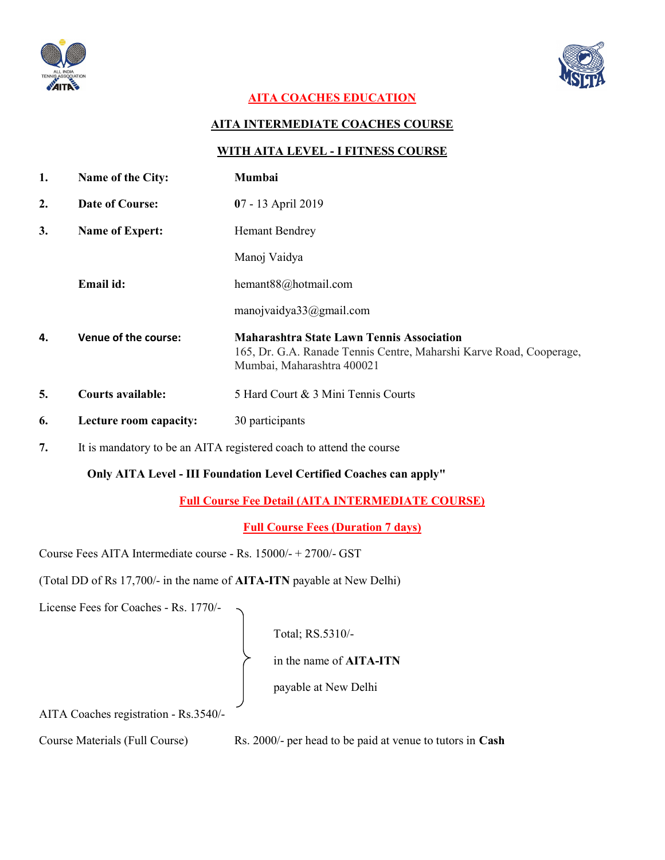



# AITA COACHES EDUCATION

### AITA INTERMEDIATE COACHES COURSE

#### WITH AITA LEVEL - I FITNESS COURSE

| 1. | Name of the City:                                                   | Mumbai                                                                                                                                                |
|----|---------------------------------------------------------------------|-------------------------------------------------------------------------------------------------------------------------------------------------------|
| 2. | Date of Course:                                                     | 07 - 13 April 2019                                                                                                                                    |
| 3. | <b>Name of Expert:</b>                                              | <b>Hemant Bendrey</b>                                                                                                                                 |
|    |                                                                     | Manoj Vaidya                                                                                                                                          |
|    | Email id:                                                           | hemant88@hotmail.com                                                                                                                                  |
|    |                                                                     | manojvaidya $33$ @gmail.com                                                                                                                           |
| 4. | Venue of the course:                                                | <b>Maharashtra State Lawn Tennis Association</b><br>165, Dr. G.A. Ranade Tennis Centre, Maharshi Karve Road, Cooperage,<br>Mumbai, Maharashtra 400021 |
| 5. | <b>Courts available:</b>                                            | 5 Hard Court & 3 Mini Tennis Courts                                                                                                                   |
| 6. | Lecture room capacity:                                              | 30 participants                                                                                                                                       |
| 7. | It is mandatory to be an AITA registered coach to attend the course |                                                                                                                                                       |

Only AITA Level - III Foundation Level Certified Coaches can apply"

Full Course Fee Detail (AITA INTERMEDIATE COURSE)

Full Course Fees (Duration 7 days)

Course Fees AITA Intermediate course - Rs. 15000/- + 2700/- GST

(Total DD of Rs 17,700/- in the name of AITA-ITN payable at New Delhi)

License Fees for Coaches - Rs. 1770/-

Total; RS.5310/-

in the name of AITA-ITN

payable at New Delhi

AITA Coaches registration - Rs.3540/-

Course Materials (Full Course) Rs. 2000/- per head to be paid at venue to tutors in Cash